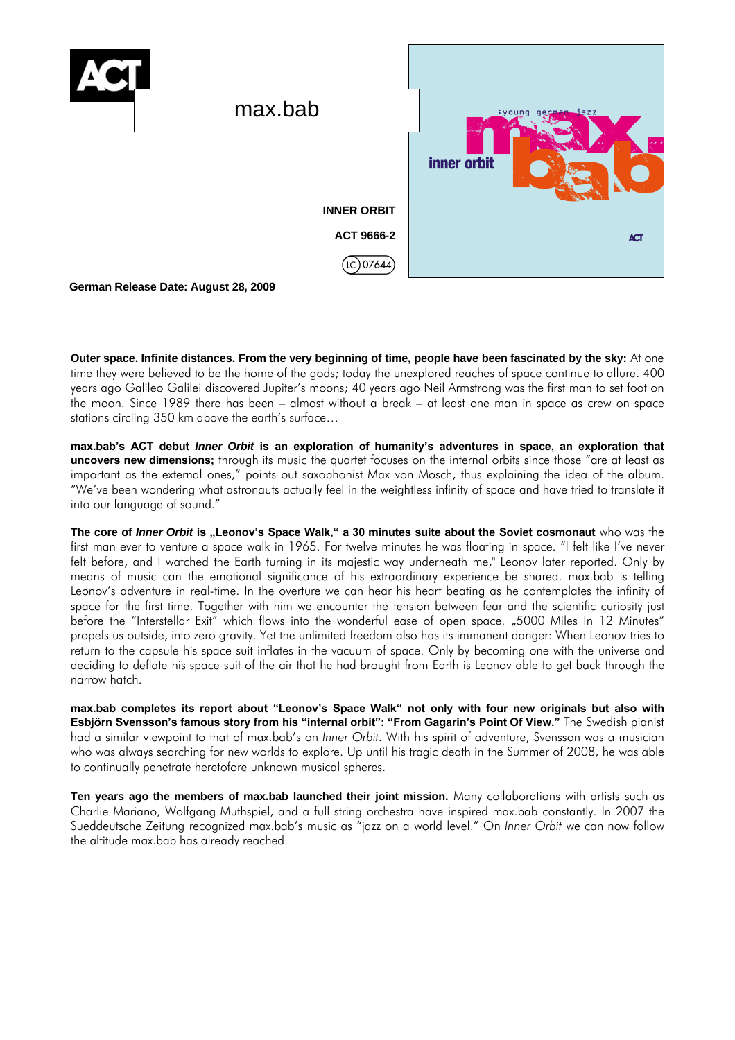

**Outer space. Infinite distances. From the very beginning of time, people have been fascinated by the sky:** At one time they were believed to be the home of the gods; today the unexplored reaches of space continue to allure. 400 years ago Galileo Galilei discovered Jupiter's moons; 40 years ago Neil Armstrong was the first man to set foot on the moon. Since 1989 there has been – almost without a break – at least one man in space as crew on space stations circling 350 km above the earth's surface…

**max.bab's ACT debut** *Inner Orbit* **is an exploration of humanity's adventures in space, an exploration that uncovers new dimensions;** through its music the quartet focuses on the internal orbits since those "are at least as important as the external ones," points out saxophonist Max von Mosch, thus explaining the idea of the album. "We've been wondering what astronauts actually feel in the weightless infinity of space and have tried to translate it into our language of sound."

The core of *Inner Orbit* is "Leonov's Space Walk," a 30 minutes suite about the Soviet cosmonaut who was the first man ever to venture a space walk in 1965. For twelve minutes he was floating in space. "I felt like I've never felt before, and I watched the Earth turning in its majestic way underneath me," Leonov later reported. Only by means of music can the emotional significance of his extraordinary experience be shared. max.bab is telling Leonov's adventure in real-time. In the overture we can hear his heart beating as he contemplates the infinity of space for the first time. Together with him we encounter the tension between fear and the scientific curiosity just before the "Interstellar Exit" which flows into the wonderful ease of open space. "5000 Miles In 12 Minutes" propels us outside, into zero gravity. Yet the unlimited freedom also has its immanent danger: When Leonov tries to return to the capsule his space suit inflates in the vacuum of space. Only by becoming one with the universe and deciding to deflate his space suit of the air that he had brought from Earth is Leonov able to get back through the narrow hatch.

**max.bab completes its report about "Leonov's Space Walk" not only with four new originals but also with Esbjörn Svensson's famous story from his "internal orbit": "From Gagarin's Point Of View."** The Swedish pianist had a similar viewpoint to that of max.bab's on *Inner Orbit*. With his spirit of adventure, Svensson was a musician who was always searching for new worlds to explore. Up until his tragic death in the Summer of 2008, he was able to continually penetrate heretofore unknown musical spheres.

**Ten years ago the members of max.bab launched their joint mission.** Many collaborations with artists such as Charlie Mariano, Wolfgang Muthspiel, and a full string orchestra have inspired max.bab constantly. In 2007 the Sueddeutsche Zeitung recognized max.bab's music as "jazz on a world level." On *Inner Orbit* we can now follow the altitude max.bab has already reached.